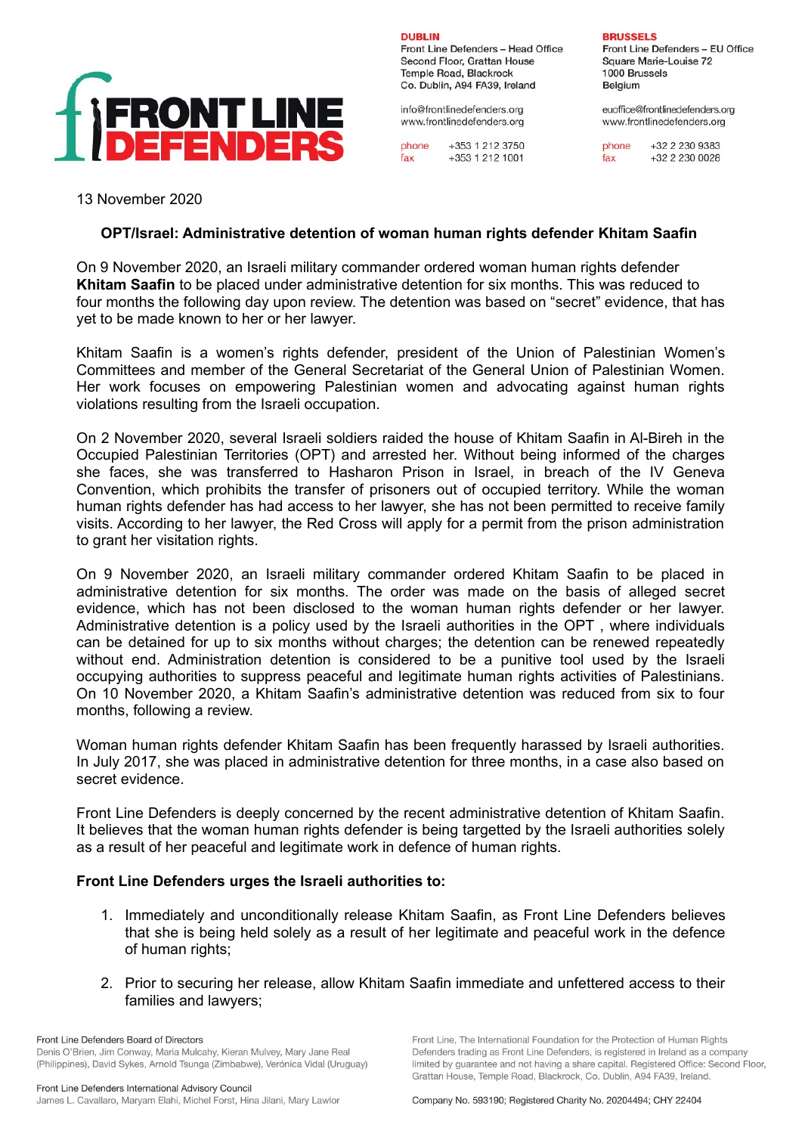

Front Line Defenders - Head Office Second Floor, Grattan House Temple Road, Blackrock Co. Dublin, A94 FA39, Ireland

info@frontlinedefenders.org www.frontlinedefenders.org

**DURLIN** 

phone +353 1 212 3750  $fax$ +353 1 212 1001

**BRUSSELS** 

Front Line Defenders - EU Office Square Marie-Louise 72 1000 Brussels Belaium

euoffice@frontlinedefenders.org www.frontlinedefenders.org

phone  $+3222309383$  $fax$ +32 2 230 0028

13 November 2020

## **OPT/Israel: Administrative detention of woman human rights defender Khitam Saafin**

On 9 November 2020, an Israeli military commander ordered woman human rights defender **Khitam Saafin** to be placed under administrative detention for six months. This was reduced to four months the following day upon review. The detention was based on "secret" evidence, that has yet to be made known to her or her lawyer.

Khitam Saafin is a women's rights defender, president of the Union of Palestinian Women's Committees and member of the General Secretariat of the General Union of Palestinian Women. Her work focuses on empowering Palestinian women and advocating against human rights violations resulting from the Israeli occupation.

On 2 November 2020, several Israeli soldiers raided the house of Khitam Saafin in Al-Bireh in the Occupied Palestinian Territories (OPT) and arrested her. Without being informed of the charges she faces, she was transferred to Hasharon Prison in Israel, in breach of the IV Geneva Convention, which prohibits the transfer of prisoners out of occupied territory. While the woman human rights defender has had access to her lawyer, she has not been permitted to receive family visits. According to her lawyer, the Red Cross will apply for a permit from the prison administration to grant her visitation rights.

On 9 November 2020, an Israeli military commander ordered Khitam Saafin to be placed in administrative detention for six months. The order was made on the basis of alleged secret evidence, which has not been disclosed to the woman human rights defender or her lawyer. Administrative detention is a policy used by the Israeli authorities in the OPT , where individuals can be detained for up to six months without charges; the detention can be renewed repeatedly without end. Administration detention is considered to be a punitive tool used by the Israeli occupying authorities to suppress peaceful and legitimate human rights activities of Palestinians. On 10 November 2020, a Khitam Saafin's administrative detention was reduced from six to four months, following a review.

Woman human rights defender Khitam Saafin has been frequently harassed by Israeli authorities. In July 2017, she was placed in administrative detention for three months, in a case also based on secret evidence.

Front Line Defenders is deeply concerned by the recent administrative detention of Khitam Saafin. It believes that the woman human rights defender is being targetted by the Israeli authorities solely as a result of her peaceful and legitimate work in defence of human rights.

## **Front Line Defenders urges the Israeli authorities to:**

- 1. Immediately and unconditionally release Khitam Saafin, as Front Line Defenders believes that she is being held solely as a result of her legitimate and peaceful work in the defence of human rights;
- 2. Prior to securing her release, allow Khitam Saafin immediate and unfettered access to their families and lawyers;

Front Line Defenders Board of Directors Denis O'Brien, Jim Conway, Maria Mulcahy, Kieran Mulvey, Mary Jane Real (Philippines), David Sykes, Arnold Tsunga (Zimbabwe), Verónica Vidal (Uruguay) Front Line, The International Foundation for the Protection of Human Rights Defenders trading as Front Line Defenders, is registered in Ireland as a company limited by quarantee and not having a share capital. Registered Office: Second Floor, Grattan House, Temple Road, Blackrock, Co. Dublin, A94 FA39, Ireland.